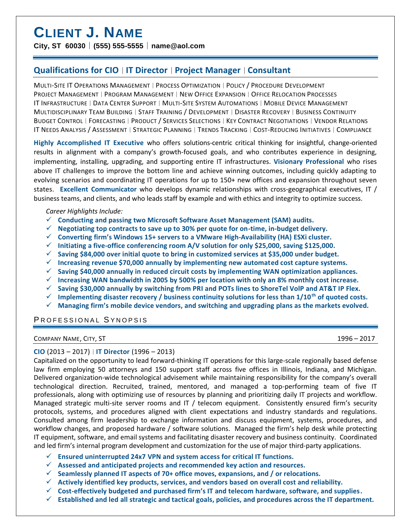# **CLIENT J. NAME**

## **City, ST 60030** │ **(555) 555-5555** │ **name@aol.com**

## **Qualifications for CIO** │ **IT Director** │ **Project Manager** │ **Consultant**

MULTI-SITE IT OPERATIONS MANAGEMENT │ PROCESS OPTIMIZATION │ POLICY / PROCEDURE DEVELOPMENT PROJECT MANAGEMENT │ PROGRAM MANAGEMENT │ NEW OFFICE EXPANSION │ OFFICE RELOCATION PROCESSES IT INFRASTRUCTURE │ DATA CENTER SUPPORT │ MULTI-SITE SYSTEM AUTOMATIONS │ MOBILE DEVICE MANAGEMENT MULTIDISCIPLINARY TEAM BUILDING │ STAFF TRAINING / DEVELOPMENT │ DISASTER RECOVERY │ BUSINESS CONTINUITY BUDGET CONTROL │ FORECASTING │ PRODUCT / SERVICES SELECTIONS │ KEY CONTRACT NEGOTIATIONS │ VENDOR RELATIONS IT NEEDS ANALYSIS / ASSESSMENT │ STRATEGIC PLANNING │ TRENDS TRACKING │ COST-REDUCING INITIATIVES │ COMPLIANCE

**Highly Accomplished IT Executive** who offers solutions-centric critical thinking for insightful, change-oriented results in alignment with a company's growth-focused goals, and who contributes experience in designing, implementing, installing, upgrading, and supporting entire IT infrastructures. **Visionary Professional** who rises above IT challenges to improve the bottom line and achieve winning outcomes, including quickly adapting to evolving scenarios and coordinating IT operations for up to 150+ new offices and expansion throughout seven states. **Excellent Communicator** who develops dynamic relationships with cross-geographical executives, IT / business teams, and clients, and who leads staff by example and with ethics and integrity to optimize success.

#### *Career Highlights Include:*

- ✓ **Conducting and passing two Microsoft Software Asset Management (SAM) audits.**
- ✓ **Negotiating top contracts to save up to 30% per quote for on-time, in-budget delivery.**
- ✓ **Converting firm's Windows 15+ servers to a VMware High-Availability (HA) ESXi cluster.**
- ✓ **Initiating a five-office conferencing room A/V solution for only \$25,000, saving \$125,000.**
- ✓ **Saving \$84,000 over initial quote to bring in customized services at \$35,000 under budget.**
- ✓ **Increasing revenue \$70,000 annually by implementing new automated cost capture systems.**
- ✓ **Saving \$40,000 annually in reduced circuit costs by implementing WAN optimization appliances.**
- ✓ **Increasing WAN bandwidth in 2005 by 500% per location with only an 8% monthly cost increase.**
- ✓ **Saving \$30,000 annually by switching from PRI and POTs lines to ShoreTel VolP and AT&T IP Flex.**
- ✓ **Implementing disaster recovery / business continuity solutions for less than 1/10th of quoted costs.**
- ✓ **Managing firm's mobile device vendors, and switching and upgrading plans as the markets evolved.**

## PROFESSIONAL SYNOPSIS

COMPANY NAME, CITY, ST 1996 – 2017

## **CIO** (2013 – 2017) │ **IT Director** (1996 – 2013)

Capitalized on the opportunity to lead forward-thinking IT operations for this large-scale regionally based defense law firm employing 50 attorneys and 150 support staff across five offices in Illinois, Indiana, and Michigan. Delivered organization-wide technological advisement while maintaining responsibility for the company's overall technological direction. Recruited, trained, mentored, and managed a top-performing team of five IT professionals, along with optimizing use of resources by planning and prioritizing daily IT projects and workflow. Managed strategic multi-site server rooms and IT / telecom equipment. Consistently ensured firm's security protocols, systems, and procedures aligned with client expectations and industry standards and regulations. Consulted among firm leadership to exchange information and discuss equipment, systems, procedures, and workflow changes, and proposed hardware / software solutions. Managed the firm's help desk while protecting IT equipment, software, and email systems and facilitating disaster recovery and business continuity. Coordinated and led firm's internal program development and customization for the use of major third-party applications.

- ✓ **Ensured uninterrupted 24x7 VPN and system access for critical IT functions.**
- ✓ **Assessed and anticipated projects and recommended key action and resources.**
- ✓ **Seamlessly planned IT aspects of 70+ office moves, expansions, and / or relocations.**
- ✓ **Actively identified key products, services, and vendors based on overall cost and reliability.**
- ✓ **Cost-effectively budgeted and purchased firm's IT and telecom hardware, software, and supplies.**
- ✓ **Established and led all strategic and tactical goals, policies, and procedures across the IT department.**